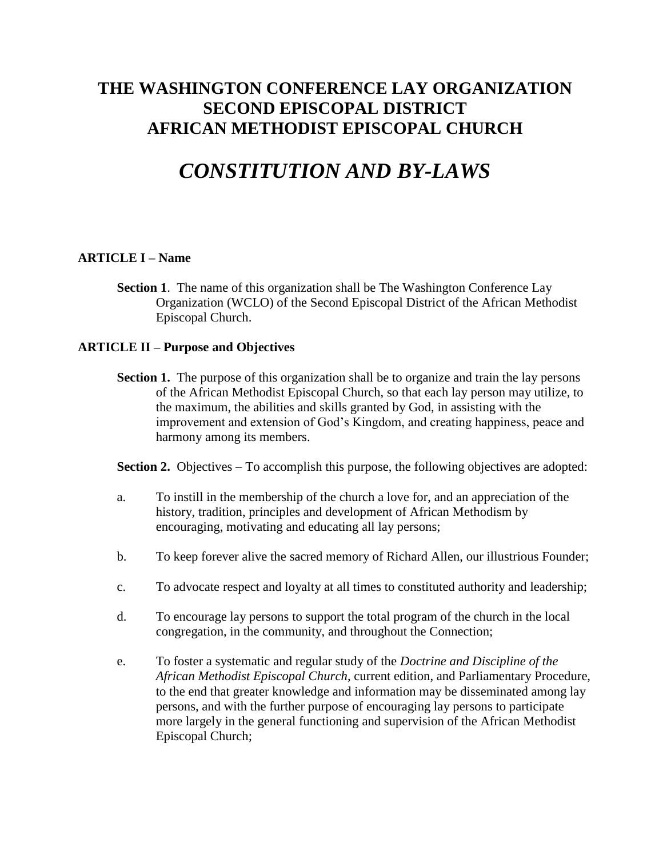## **THE WASHINGTON CONFERENCE LAY ORGANIZATION SECOND EPISCOPAL DISTRICT AFRICAN METHODIST EPISCOPAL CHURCH**

# *CONSTITUTION AND BY-LAWS*

#### **ARTICLE I – Name**

**Section 1**. The name of this organization shall be The Washington Conference Lay Organization (WCLO) of the Second Episcopal District of the African Methodist Episcopal Church.

#### **ARTICLE II – Purpose and Objectives**

**Section 1.** The purpose of this organization shall be to organize and train the lay persons of the African Methodist Episcopal Church, so that each lay person may utilize, to the maximum, the abilities and skills granted by God, in assisting with the improvement and extension of God's Kingdom, and creating happiness, peace and harmony among its members.

**Section 2.** Objectives – To accomplish this purpose, the following objectives are adopted:

- a. To instill in the membership of the church a love for, and an appreciation of the history, tradition, principles and development of African Methodism by encouraging, motivating and educating all lay persons;
- b. To keep forever alive the sacred memory of Richard Allen, our illustrious Founder;
- c. To advocate respect and loyalty at all times to constituted authority and leadership;
- d. To encourage lay persons to support the total program of the church in the local congregation, in the community, and throughout the Connection;
- e. To foster a systematic and regular study of the *Doctrine and Discipline of the African Methodist Episcopal Church*, current edition, and Parliamentary Procedure, to the end that greater knowledge and information may be disseminated among lay persons, and with the further purpose of encouraging lay persons to participate more largely in the general functioning and supervision of the African Methodist Episcopal Church;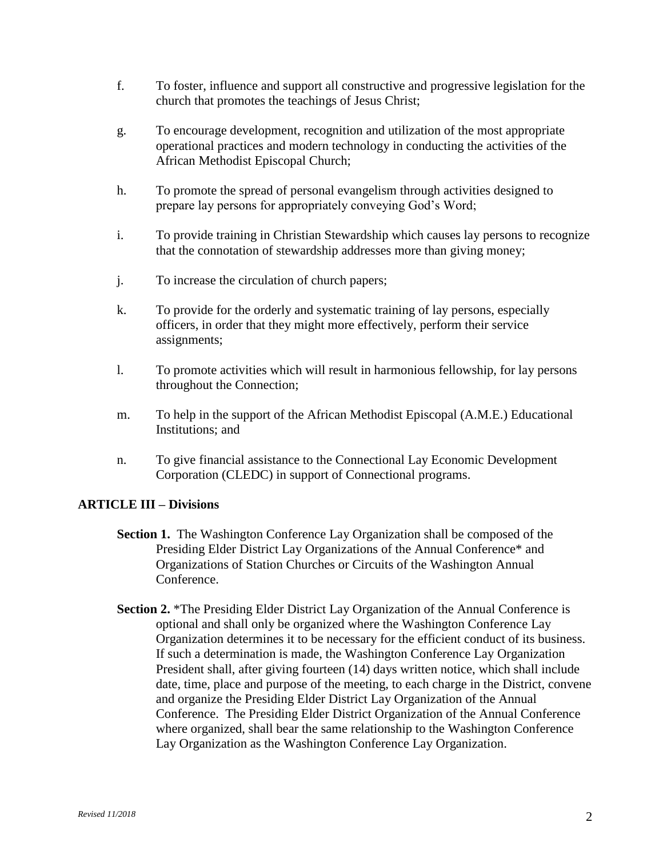- f. To foster, influence and support all constructive and progressive legislation for the church that promotes the teachings of Jesus Christ;
- g. To encourage development, recognition and utilization of the most appropriate operational practices and modern technology in conducting the activities of the African Methodist Episcopal Church;
- h. To promote the spread of personal evangelism through activities designed to prepare lay persons for appropriately conveying God's Word;
- i. To provide training in Christian Stewardship which causes lay persons to recognize that the connotation of stewardship addresses more than giving money;
- j. To increase the circulation of church papers;
- k. To provide for the orderly and systematic training of lay persons, especially officers, in order that they might more effectively, perform their service assignments;
- l. To promote activities which will result in harmonious fellowship, for lay persons throughout the Connection;
- m. To help in the support of the African Methodist Episcopal (A.M.E.) Educational Institutions; and
- n. To give financial assistance to the Connectional Lay Economic Development Corporation (CLEDC) in support of Connectional programs.

#### **ARTICLE III – Divisions**

- **Section 1.** The Washington Conference Lay Organization shall be composed of the Presiding Elder District Lay Organizations of the Annual Conference\* and Organizations of Station Churches or Circuits of the Washington Annual Conference.
- **Section 2.** *\*The Presiding Elder District Lay Organization of the Annual Conference is* optional and shall only be organized where the Washington Conference Lay Organization determines it to be necessary for the efficient conduct of its business. If such a determination is made, the Washington Conference Lay Organization President shall, after giving fourteen (14) days written notice, which shall include date, time, place and purpose of the meeting, to each charge in the District, convene and organize the Presiding Elder District Lay Organization of the Annual Conference. The Presiding Elder District Organization of the Annual Conference where organized, shall bear the same relationship to the Washington Conference Lay Organization as the Washington Conference Lay Organization.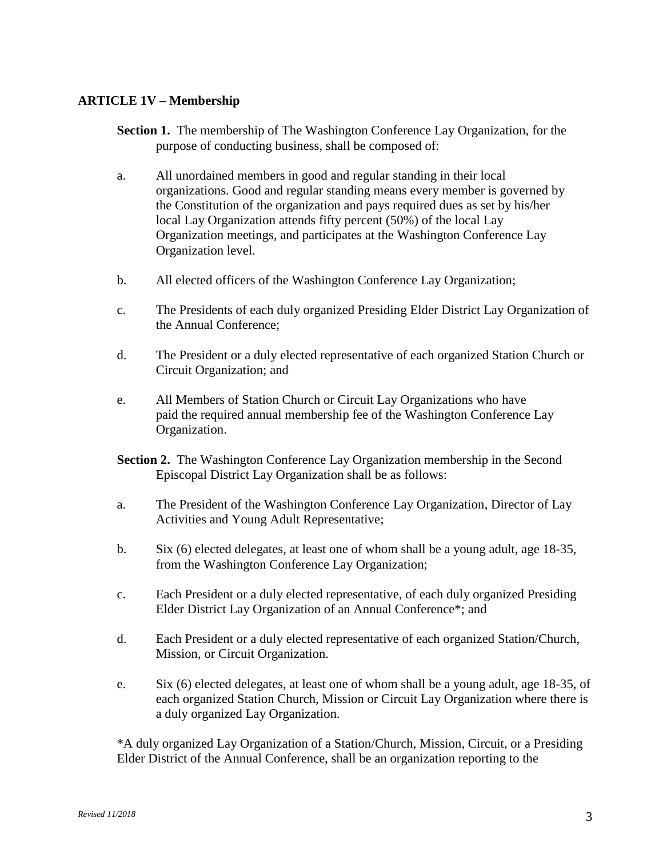#### **ARTICLE 1V – Membership**

- **Section 1.** The membership of The Washington Conference Lay Organization, for the purpose of conducting business, shall be composed of:
- a.All unordained members in good and regular standing in their local organizations. Good and regular standing means every member is governed by the Constitution of the organization and pays required dues as set by his/her local Lay Organization attends fifty percent (50%) of the local Lay Organization meetings, and participates at the Washington Conference Lay Organization level.
- b. All elected officers of the Washington Conference Lay Organization;
- c. The Presidents of each duly organized Presiding Elder District Lay Organization of the Annual Conference;
- d. The President or a duly elected representative of each organized Station Church or Circuit Organization; and
- e. All Members of Station Church or Circuit Lay Organizations who have paid the required annual membership fee of the Washington Conference Lay Organization.
- **Section 2.** The Washington Conference Lay Organization membership in the Second Episcopal District Lay Organization shall be as follows:
- a. The President of the Washington Conference Lay Organization, Director of Lay Activities and Young Adult Representative;
- b. Six (6) elected delegates, at least one of whom shall be a young adult, age 18-35, from the Washington Conference Lay Organization;
- c. Each President or a duly elected representative, of each duly organized Presiding Elder District Lay Organization of an Annual Conference\*; and
- d. Each President or a duly elected representative of each organized Station/Church, Mission, or Circuit Organization.
- e. Six (6) elected delegates, at least one of whom shall be a young adult, age 18-35, of each organized Station Church, Mission or Circuit Lay Organization where there is a duly organized Lay Organization.

\*A duly organized Lay Organization of a Station/Church, Mission, Circuit, or a Presiding Elder District of the Annual Conference, shall be an organization reporting to the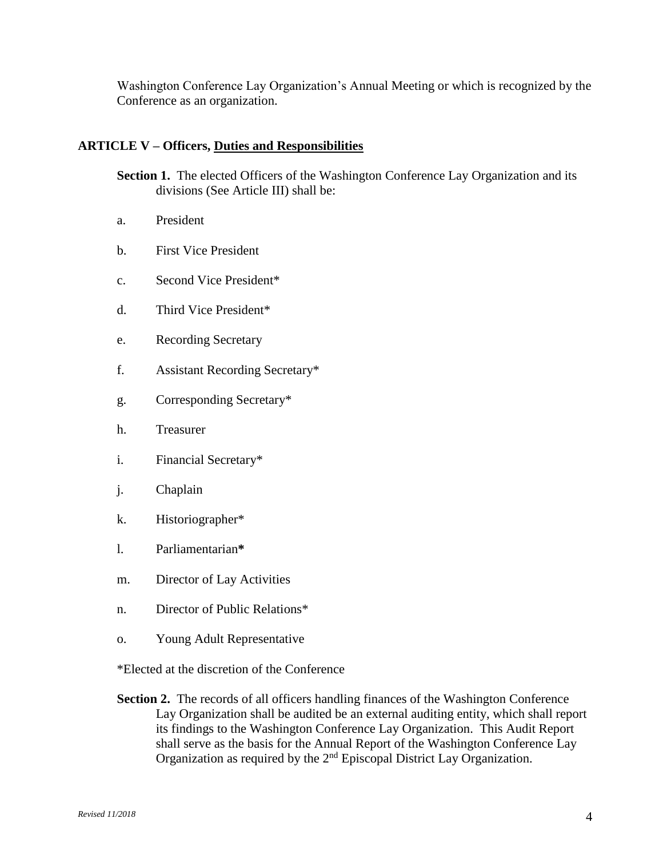Washington Conference Lay Organization's Annual Meeting or which is recognized by the Conference as an organization.

#### **ARTICLE V – Officers, Duties and Responsibilities**

- **Section 1.** The elected Officers of the Washington Conference Lay Organization and its divisions (See Article III) shall be:
- a. President
- b. First Vice President
- c. Second Vice President\*
- d. Third Vice President\*
- e. Recording Secretary
- f. Assistant Recording Secretary\*
- g. Corresponding Secretary\*
- h. Treasurer
- i. Financial Secretary\*
- j. Chaplain
- k. Historiographer\*
- l. Parliamentarian**\***
- m. Director of Lay Activities
- n. Director of Public Relations\*
- o. Young Adult Representative
- \*Elected at the discretion of the Conference
- **Section 2.** The records of all officers handling finances of the Washington Conference Lay Organization shall be audited be an external auditing entity, which shall report its findings to the Washington Conference Lay Organization. This Audit Report shall serve as the basis for the Annual Report of the Washington Conference Lay Organization as required by the 2nd Episcopal District Lay Organization.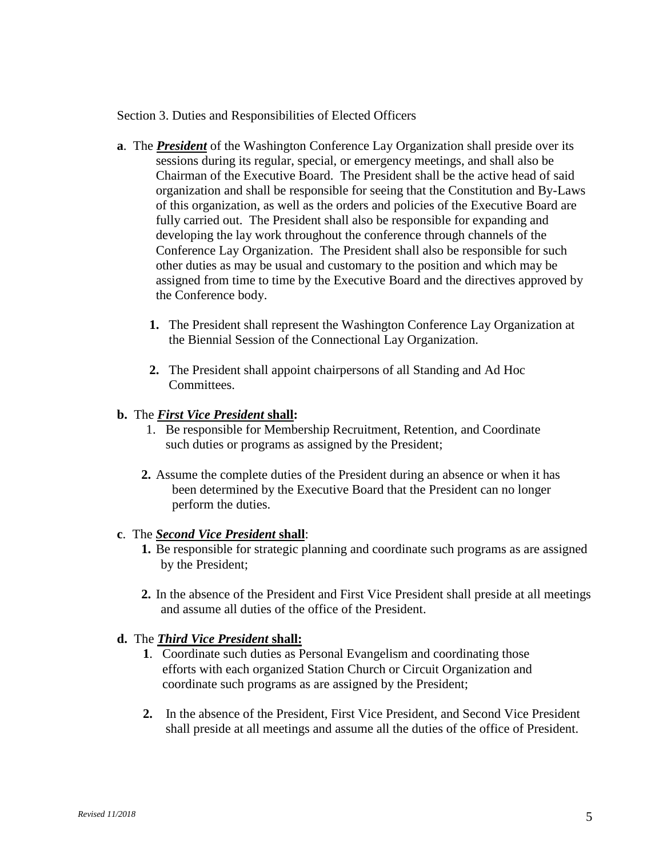Section 3. Duties and Responsibilities of Elected Officers

- **a**. The *President* of the Washington Conference Lay Organization shall preside over its sessions during its regular, special, or emergency meetings, and shall also be Chairman of the Executive Board. The President shall be the active head of said organization and shall be responsible for seeing that the Constitution and By-Laws of this organization, as well as the orders and policies of the Executive Board are fully carried out. The President shall also be responsible for expanding and developing the lay work throughout the conference through channels of the Conference Lay Organization. The President shall also be responsible for such other duties as may be usual and customary to the position and which may be assigned from time to time by the Executive Board and the directives approved by the Conference body.
	- **1.** The President shall represent the Washington Conference Lay Organization at the Biennial Session of the Connectional Lay Organization.
	- **2.** The President shall appoint chairpersons of all Standing and Ad Hoc Committees.

#### **b.** The *First Vice President* **shall:**

- 1. Be responsible for Membership Recruitment, Retention, and Coordinate such duties or programs as assigned by the President;
- **2.** Assume the complete duties of the President during an absence or when it has been determined by the Executive Board that the President can no longer perform the duties.

#### **c**. The *Second Vice President* **shall**:

- **1.** Be responsible for strategic planning and coordinate such programs as are assigned by the President;
- **2.** In the absence of the President and First Vice President shall preside at all meetings and assume all duties of the office of the President.

#### **d.** The *Third Vice President* **shall:**

- **1**. Coordinate such duties as Personal Evangelism and coordinating those efforts with each organized Station Church or Circuit Organization and coordinate such programs as are assigned by the President;
- **2.** In the absence of the President, First Vice President, and Second Vice President shall preside at all meetings and assume all the duties of the office of President.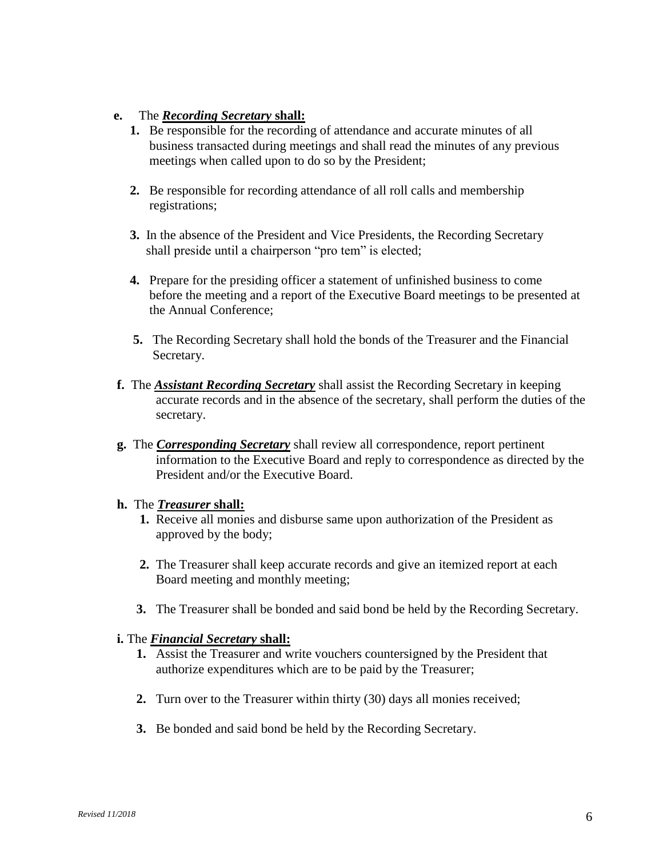#### **e.** The *Recording Secretary* **shall:**

- **1.** Be responsible for the recording of attendance and accurate minutes of all business transacted during meetings and shall read the minutes of any previous meetings when called upon to do so by the President;
- **2.** Be responsible for recording attendance of all roll calls and membership registrations;
- **3.** In the absence of the President and Vice Presidents, the Recording Secretary shall preside until a chairperson "pro tem" is elected;
- **4.** Prepare for the presiding officer a statement of unfinished business to come before the meeting and a report of the Executive Board meetings to be presented at the Annual Conference;
- **5.** The Recording Secretary shall hold the bonds of the Treasurer and the Financial Secretary.
- **f.** The *Assistant Recording Secretary* shall assist the Recording Secretary in keeping accurate records and in the absence of the secretary, shall perform the duties of the secretary.
- **g.** The *Corresponding Secretary* shall review all correspondence, report pertinent information to the Executive Board and reply to correspondence as directed by the President and/or the Executive Board.

#### **h.** The *Treasurer* **shall:**

- **1.** Receive all monies and disburse same upon authorization of the President as approved by the body;
- **2.** The Treasurer shall keep accurate records and give an itemized report at each Board meeting and monthly meeting;
- **3.** The Treasurer shall be bonded and said bond be held by the Recording Secretary.

#### **i.** The *Financial Secretary* **shall:**

- **1.** Assist the Treasurer and write vouchers countersigned by the President that authorize expenditures which are to be paid by the Treasurer;
- **2.** Turn over to the Treasurer within thirty (30) days all monies received;
- **3.** Be bonded and said bond be held by the Recording Secretary.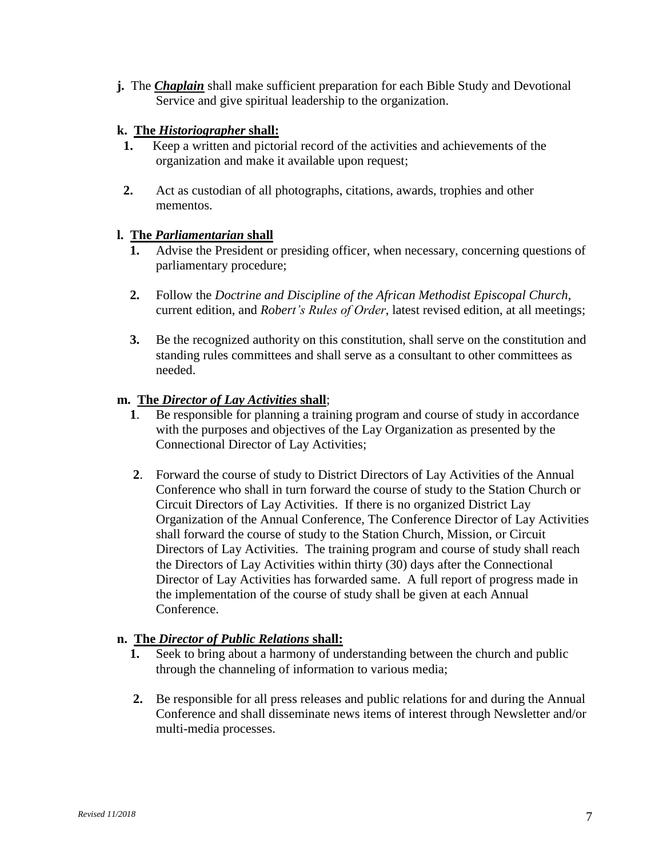**j.** The *Chaplain* shall make sufficient preparation for each Bible Study and Devotional Service and give spiritual leadership to the organization.

#### **k. The** *Historiographer* **shall:**

- **1.** Keep a written and pictorial record of the activities and achievements of the organization and make it available upon request;
- **2.** Act as custodian of all photographs, citations, awards, trophies and other mementos.

#### **l. The** *Parliamentarian* **shall**

- **1.** Advise the President or presiding officer, when necessary, concerning questions of parliamentary procedure;
- **2.** Follow the *Doctrine and Discipline of the African Methodist Episcopal Church*, current edition, and *Robert's Rules of Order*, latest revised edition, at all meetings;
- **3.** Be the recognized authority on this constitution, shall serve on the constitution and standing rules committees and shall serve as a consultant to other committees as needed.

#### **m. The** *Director of Lay Activities* **shall**;

- **1**. Be responsible for planning a training program and course of study in accordance with the purposes and objectives of the Lay Organization as presented by the Connectional Director of Lay Activities;
- **2**. Forward the course of study to District Directors of Lay Activities of the Annual Conference who shall in turn forward the course of study to the Station Church or Circuit Directors of Lay Activities. If there is no organized District Lay Organization of the Annual Conference, The Conference Director of Lay Activities shall forward the course of study to the Station Church, Mission, or Circuit Directors of Lay Activities. The training program and course of study shall reach the Directors of Lay Activities within thirty (30) days after the Connectional Director of Lay Activities has forwarded same. A full report of progress made in the implementation of the course of study shall be given at each Annual Conference.

#### **n. The** *Director of Public Relations* **shall:**

- **1.** Seek to bring about a harmony of understanding between the church and public through the channeling of information to various media;
- **2.** Be responsible for all press releases and public relations for and during the Annual Conference and shall disseminate news items of interest through Newsletter and/or multi-media processes.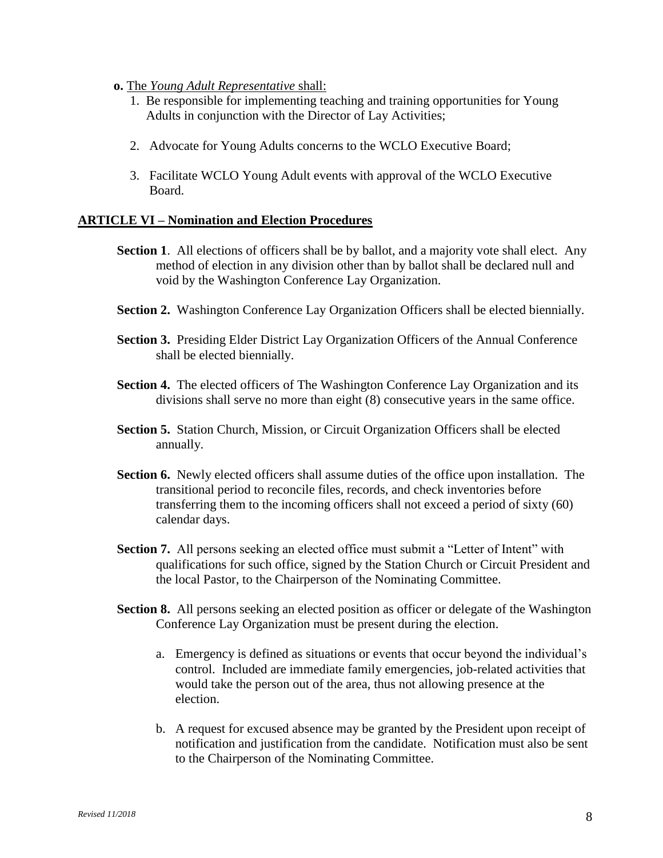- **o.** The *Young Adult Representative* shall:
	- 1. Be responsible for implementing teaching and training opportunities for Young Adults in conjunction with the Director of Lay Activities;
	- 2. Advocate for Young Adults concerns to the WCLO Executive Board;
	- 3. Facilitate WCLO Young Adult events with approval of the WCLO Executive Board.

#### **ARTICLE VI – Nomination and Election Procedures**

- **Section 1.** All elections of officers shall be by ballot, and a majority vote shall elect. Any method of election in any division other than by ballot shall be declared null and void by the Washington Conference Lay Organization.
- **Section 2.** Washington Conference Lay Organization Officers shall be elected biennially.
- **Section 3.** Presiding Elder District Lay Organization Officers of the Annual Conference shall be elected biennially.
- **Section 4.** The elected officers of The Washington Conference Lay Organization and its divisions shall serve no more than eight (8) consecutive years in the same office.
- **Section 5.** Station Church, Mission, or Circuit Organization Officers shall be elected annually.
- **Section 6.** Newly elected officers shall assume duties of the office upon installation. The transitional period to reconcile files, records, and check inventories before transferring them to the incoming officers shall not exceed a period of sixty (60) calendar days.
- **Section 7.** All persons seeking an elected office must submit a "Letter of Intent" with qualifications for such office, signed by the Station Church or Circuit President and the local Pastor, to the Chairperson of the Nominating Committee.
- **Section 8.** All persons seeking an elected position as officer or delegate of the Washington Conference Lay Organization must be present during the election.
	- a. Emergency is defined as situations or events that occur beyond the individual's control. Included are immediate family emergencies, job-related activities that would take the person out of the area, thus not allowing presence at the election.
	- b. A request for excused absence may be granted by the President upon receipt of notification and justification from the candidate. Notification must also be sent to the Chairperson of the Nominating Committee.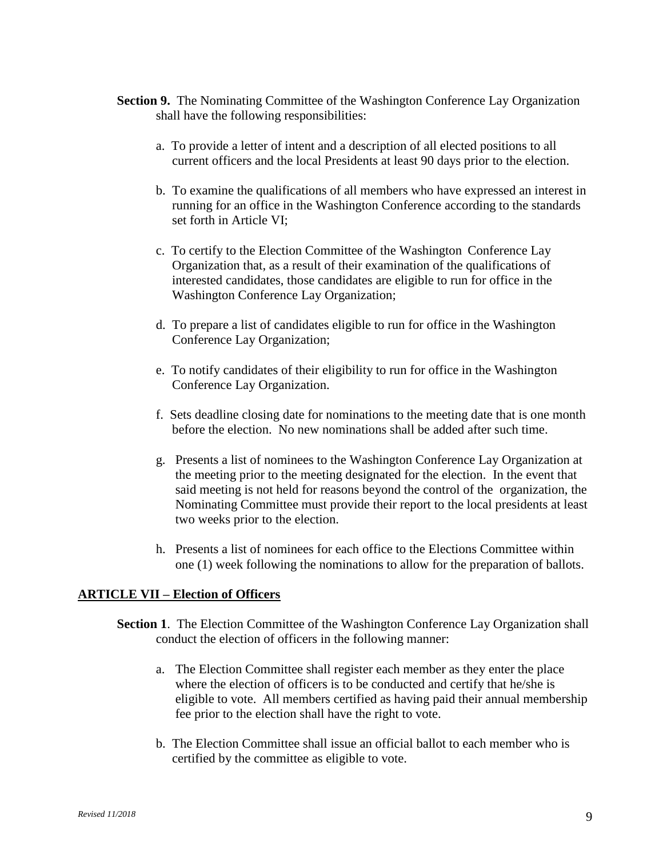- **Section 9.** The Nominating Committee of the Washington Conference Lay Organization shall have the following responsibilities:
	- a. To provide a letter of intent and a description of all elected positions to all current officers and the local Presidents at least 90 days prior to the election.
	- b. To examine the qualifications of all members who have expressed an interest in running for an office in the Washington Conference according to the standards set forth in Article VI;
	- c. To certify to the Election Committee of the Washington Conference Lay Organization that, as a result of their examination of the qualifications of interested candidates, those candidates are eligible to run for office in the Washington Conference Lay Organization;
	- d. To prepare a list of candidates eligible to run for office in the Washington Conference Lay Organization;
	- e. To notify candidates of their eligibility to run for office in the Washington Conference Lay Organization.
	- f. Sets deadline closing date for nominations to the meeting date that is one month before the election. No new nominations shall be added after such time.
	- g. Presents a list of nominees to the Washington Conference Lay Organization at the meeting prior to the meeting designated for the election. In the event that said meeting is not held for reasons beyond the control of the organization, the Nominating Committee must provide their report to the local presidents at least two weeks prior to the election.
	- h. Presents a list of nominees for each office to the Elections Committee within one (1) week following the nominations to allow for the preparation of ballots.

#### **ARTICLE VII – Election of Officers**

- **Section 1.** The Election Committee of the Washington Conference Lay Organization shall conduct the election of officers in the following manner:
	- a. The Election Committee shall register each member as they enter the place where the election of officers is to be conducted and certify that he/she is eligible to vote. All members certified as having paid their annual membership fee prior to the election shall have the right to vote.
	- b. The Election Committee shall issue an official ballot to each member who is certified by the committee as eligible to vote.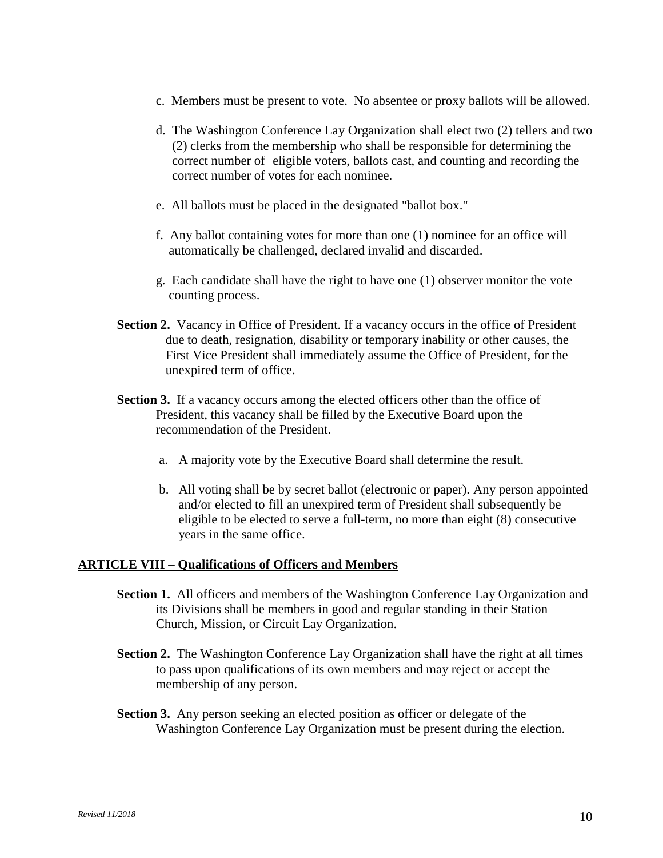- c. Members must be present to vote. No absentee or proxy ballots will be allowed.
- d. The Washington Conference Lay Organization shall elect two (2) tellers and two (2) clerks from the membership who shall be responsible for determining the correct number of eligible voters, ballots cast, and counting and recording the correct number of votes for each nominee.
- e. All ballots must be placed in the designated "ballot box."
- f. Any ballot containing votes for more than one (1) nominee for an office will automatically be challenged, declared invalid and discarded.
- g. Each candidate shall have the right to have one (1) observer monitor the vote counting process.
- **Section 2.** Vacancy in Office of President. If a vacancy occurs in the office of President due to death, resignation, disability or temporary inability or other causes, the First Vice President shall immediately assume the Office of President, for the unexpired term of office.
- **Section 3.** If a vacancy occurs among the elected officers other than the office of President, this vacancy shall be filled by the Executive Board upon the recommendation of the President.
	- a. A majority vote by the Executive Board shall determine the result.
	- b. All voting shall be by secret ballot (electronic or paper). Any person appointed and/or elected to fill an unexpired term of President shall subsequently be eligible to be elected to serve a full-term, no more than eight (8) consecutive years in the same office.

#### **ARTICLE VIII – Qualifications of Officers and Members**

- **Section 1.** All officers and members of the Washington Conference Lay Organization and its Divisions shall be members in good and regular standing in their Station Church, Mission, or Circuit Lay Organization.
- **Section 2.** The Washington Conference Lay Organization shall have the right at all times to pass upon qualifications of its own members and may reject or accept the membership of any person.
- **Section 3.** Any person seeking an elected position as officer or delegate of the Washington Conference Lay Organization must be present during the election.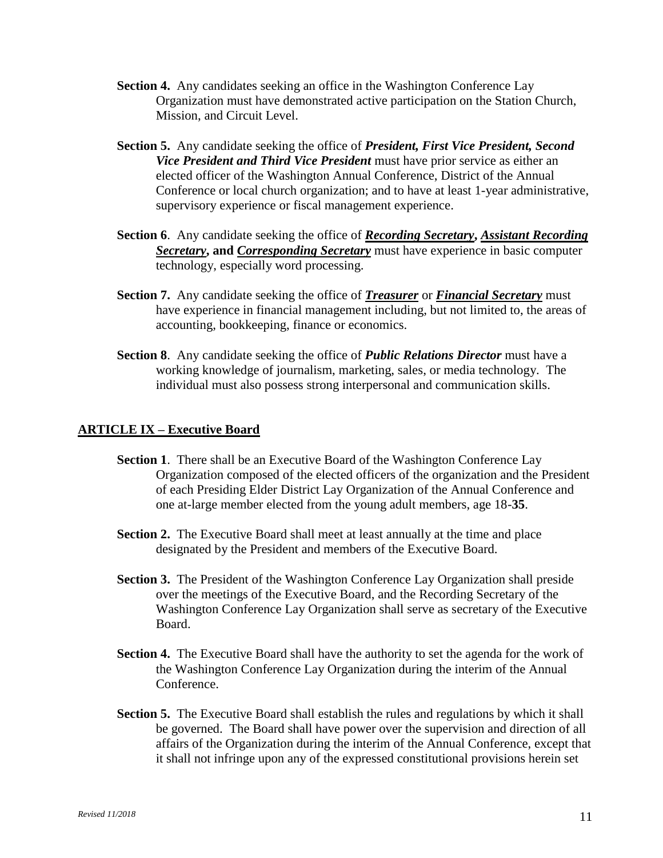- **Section 4.** Any candidates seeking an office in the Washington Conference Lay Organization must have demonstrated active participation on the Station Church, Mission, and Circuit Level.
- **Section 5.** Any candidate seeking the office of *President, First Vice President, Second Vice President and Third Vice President* must have prior service as either an elected officer of the Washington Annual Conference, District of the Annual Conference or local church organization; and to have at least 1-year administrative, supervisory experience or fiscal management experience.
- **Section 6**. Any candidate seeking the office of *Recording Secretary***,** *Assistant Recording Secretary***, and** *Corresponding Secretary* must have experience in basic computer technology, especially word processing.
- **Section 7.** Any candidate seeking the office of *Treasurer* or *Financial Secretary* must have experience in financial management including, but not limited to, the areas of accounting, bookkeeping, finance or economics.
- **Section 8**. Any candidate seeking the office of *Public Relations Director* must have a working knowledge of journalism, marketing, sales, or media technology. The individual must also possess strong interpersonal and communication skills.

#### **ARTICLE IX – Executive Board**

- **Section 1**. There shall be an Executive Board of the Washington Conference Lay Organization composed of the elected officers of the organization and the President of each Presiding Elder District Lay Organization of the Annual Conference and one at-large member elected from the young adult members, age 18-**35**.
- **Section 2.** The Executive Board shall meet at least annually at the time and place designated by the President and members of the Executive Board.
- **Section 3.** The President of the Washington Conference Lay Organization shall preside over the meetings of the Executive Board, and the Recording Secretary of the Washington Conference Lay Organization shall serve as secretary of the Executive Board.
- **Section 4.** The Executive Board shall have the authority to set the agenda for the work of the Washington Conference Lay Organization during the interim of the Annual Conference.
- **Section 5.** The Executive Board shall establish the rules and regulations by which it shall be governed. The Board shall have power over the supervision and direction of all affairs of the Organization during the interim of the Annual Conference, except that it shall not infringe upon any of the expressed constitutional provisions herein set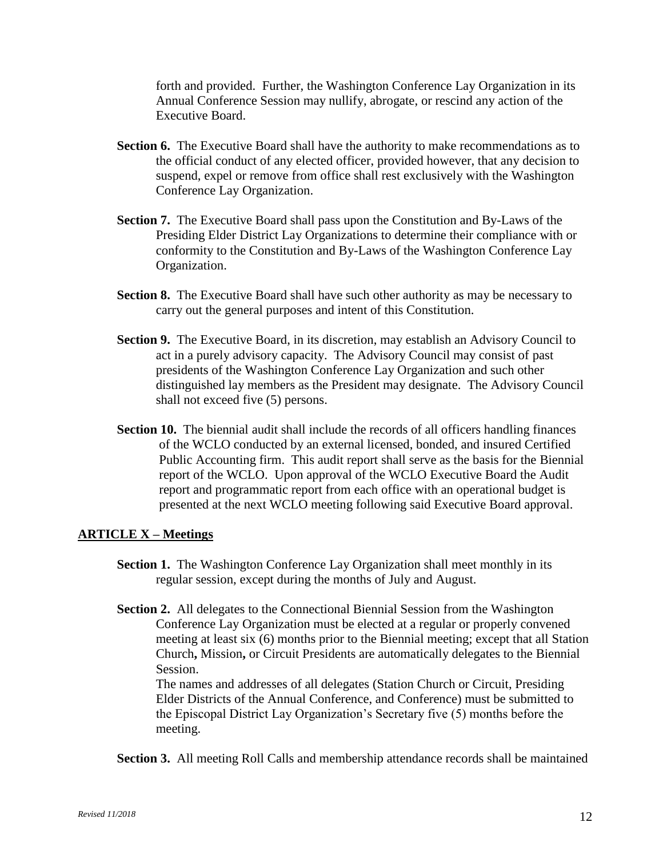forth and provided. Further, the Washington Conference Lay Organization in its Annual Conference Session may nullify, abrogate, or rescind any action of the Executive Board.

- **Section 6.** The Executive Board shall have the authority to make recommendations as to the official conduct of any elected officer, provided however, that any decision to suspend, expel or remove from office shall rest exclusively with the Washington Conference Lay Organization.
- **Section 7.** The Executive Board shall pass upon the Constitution and By-Laws of the Presiding Elder District Lay Organizations to determine their compliance with or conformity to the Constitution and By-Laws of the Washington Conference Lay Organization.
- **Section 8.** The Executive Board shall have such other authority as may be necessary to carry out the general purposes and intent of this Constitution.
- **Section 9.** The Executive Board, in its discretion, may establish an Advisory Council to act in a purely advisory capacity. The Advisory Council may consist of past presidents of the Washington Conference Lay Organization and such other distinguished lay members as the President may designate. The Advisory Council shall not exceed five (5) persons.
- **Section 10.** The biennial audit shall include the records of all officers handling finances of the WCLO conducted by an external licensed, bonded, and insured Certified Public Accounting firm. This audit report shall serve as the basis for the Biennial report of the WCLO. Upon approval of the WCLO Executive Board the Audit report and programmatic report from each office with an operational budget is presented at the next WCLO meeting following said Executive Board approval.

#### **ARTICLE X – Meetings**

- **Section 1.** The Washington Conference Lay Organization shall meet monthly in its regular session, except during the months of July and August.
- **Section 2.** All delegates to the Connectional Biennial Session from the Washington Conference Lay Organization must be elected at a regular or properly convened meeting at least six (6) months prior to the Biennial meeting; except that all Station Church**,** Mission**,** or Circuit Presidents are automatically delegates to the Biennial Session.

The names and addresses of all delegates (Station Church or Circuit, Presiding Elder Districts of the Annual Conference, and Conference) must be submitted to the Episcopal District Lay Organization's Secretary five (5) months before the meeting.

 **Section 3.** All meeting Roll Calls and membership attendance records shall be maintained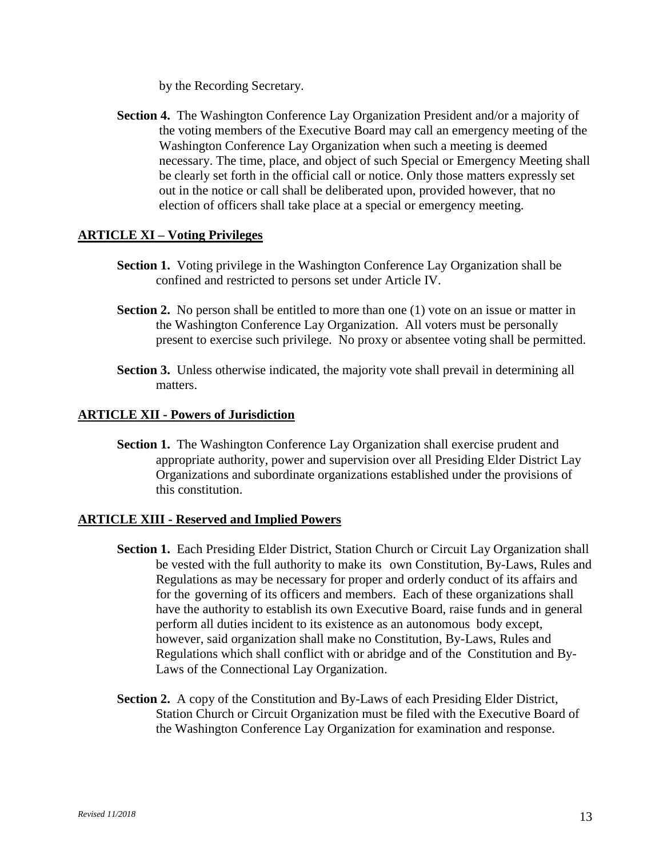by the Recording Secretary.

 **Section 4.** The Washington Conference Lay Organization President and/or a majority of the voting members of the Executive Board may call an emergency meeting of the Washington Conference Lay Organization when such a meeting is deemed necessary. The time, place, and object of such Special or Emergency Meeting shall be clearly set forth in the official call or notice. Only those matters expressly set out in the notice or call shall be deliberated upon, provided however, that no election of officers shall take place at a special or emergency meeting.

#### **ARTICLE XI – Voting Privileges**

- **Section 1.** Voting privilege in the Washington Conference Lay Organization shall be confined and restricted to persons set under Article IV.
- **Section 2.** No person shall be entitled to more than one (1) vote on an issue or matter in the Washington Conference Lay Organization. All voters must be personally present to exercise such privilege. No proxy or absentee voting shall be permitted.
- **Section 3.** Unless otherwise indicated, the majority vote shall prevail in determining all matters.

#### **ARTICLE XII - Powers of Jurisdiction**

**Section 1.** The Washington Conference Lay Organization shall exercise prudent and appropriate authority, power and supervision over all Presiding Elder District Lay Organizations and subordinate organizations established under the provisions of this constitution.

#### **ARTICLE XIII - Reserved and Implied Powers**

- **Section 1.** Each Presiding Elder District, Station Church or Circuit Lay Organization shall be vested with the full authority to make its own Constitution, By-Laws, Rules and Regulations as may be necessary for proper and orderly conduct of its affairs and for the governing of its officers and members. Each of these organizations shall have the authority to establish its own Executive Board, raise funds and in general perform all duties incident to its existence as an autonomous body except, however, said organization shall make no Constitution, By-Laws, Rules and Regulations which shall conflict with or abridge and of the Constitution and By-Laws of the Connectional Lay Organization.
- **Section 2.** A copy of the Constitution and By-Laws of each Presiding Elder District, Station Church or Circuit Organization must be filed with the Executive Board of the Washington Conference Lay Organization for examination and response.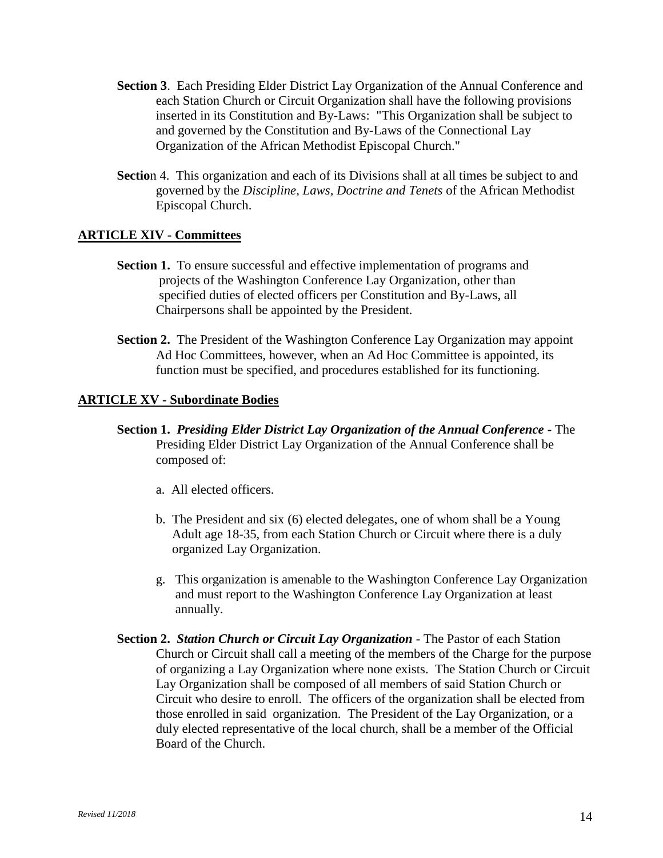- **Section 3**. Each Presiding Elder District Lay Organization of the Annual Conference and each Station Church or Circuit Organization shall have the following provisions inserted in its Constitution and By-Laws: "This Organization shall be subject to and governed by the Constitution and By-Laws of the Connectional Lay Organization of the African Methodist Episcopal Church."
- Section 4. This organization and each of its Divisions shall at all times be subject to and governed by the *Discipline, Laws, Doctrine and Tenets* of the African Methodist Episcopal Church.

#### **ARTICLE XIV - Committees**

- **Section 1.** To ensure successful and effective implementation of programs and projects of the Washington Conference Lay Organization, other than specified duties of elected officers per Constitution and By-Laws, all Chairpersons shall be appointed by the President.
- **Section 2.** The President of the Washington Conference Lay Organization may appoint Ad Hoc Committees, however, when an Ad Hoc Committee is appointed, its function must be specified, and procedures established for its functioning.

#### **ARTICLE XV - Subordinate Bodies**

- **Section 1.** *Presiding Elder District Lay Organization of the Annual Conference* **-** The Presiding Elder District Lay Organization of the Annual Conference shall be composed of:
	- a. All elected officers.
	- b. The President and six (6) elected delegates, one of whom shall be a Young Adult age 18-35, from each Station Church or Circuit where there is a duly organized Lay Organization.
	- g. This organization is amenable to the Washington Conference Lay Organization and must report to the Washington Conference Lay Organization at least annually.
- **Section 2.** *Station Church or Circuit Lay Organization* The Pastor of each Station Church or Circuit shall call a meeting of the members of the Charge for the purpose of organizing a Lay Organization where none exists. The Station Church or Circuit Lay Organization shall be composed of all members of said Station Church or Circuit who desire to enroll. The officers of the organization shall be elected from those enrolled in said organization. The President of the Lay Organization, or a duly elected representative of the local church, shall be a member of the Official Board of the Church.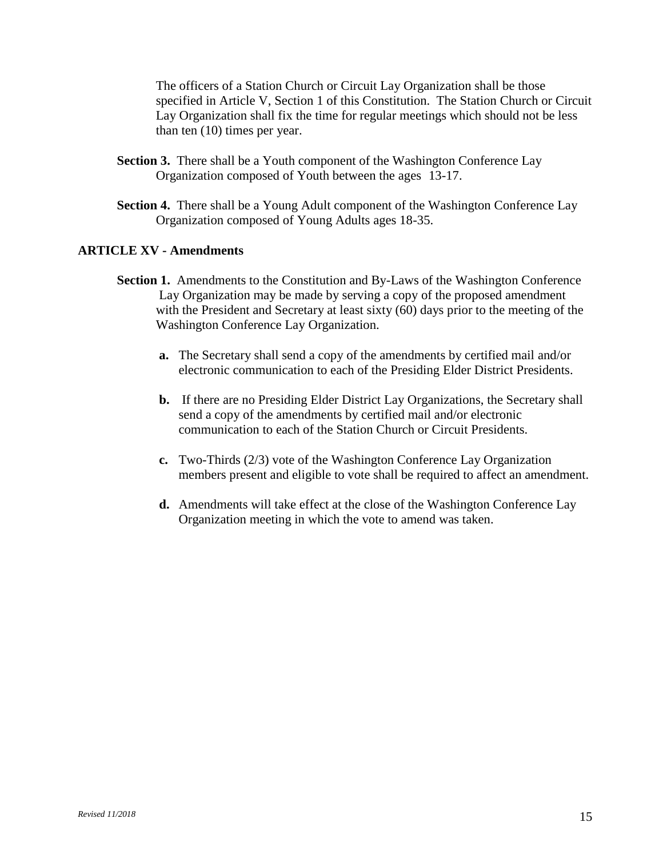The officers of a Station Church or Circuit Lay Organization shall be those specified in Article V, Section 1 of this Constitution. The Station Church or Circuit Lay Organization shall fix the time for regular meetings which should not be less than ten (10) times per year.

- **Section 3.** There shall be a Youth component of the Washington Conference Lay Organization composed of Youth between the ages 13-17.
- **Section 4.** There shall be a Young Adult component of the Washington Conference Lay Organization composed of Young Adults ages 18-35.

#### **ARTICLE XV - Amendments**

- **Section 1.** Amendments to the Constitution and By-Laws of the Washington Conference Lay Organization may be made by serving a copy of the proposed amendment with the President and Secretary at least sixty (60) days prior to the meeting of the Washington Conference Lay Organization.
	- **a.** The Secretary shall send a copy of the amendments by certified mail and/or electronic communication to each of the Presiding Elder District Presidents.
	- **b.** If there are no Presiding Elder District Lay Organizations, the Secretary shall send a copy of the amendments by certified mail and/or electronic communication to each of the Station Church or Circuit Presidents.
	- **c.** Two-Thirds (2/3) vote of the Washington Conference Lay Organization members present and eligible to vote shall be required to affect an amendment.
	- **d.** Amendments will take effect at the close of the Washington Conference Lay Organization meeting in which the vote to amend was taken.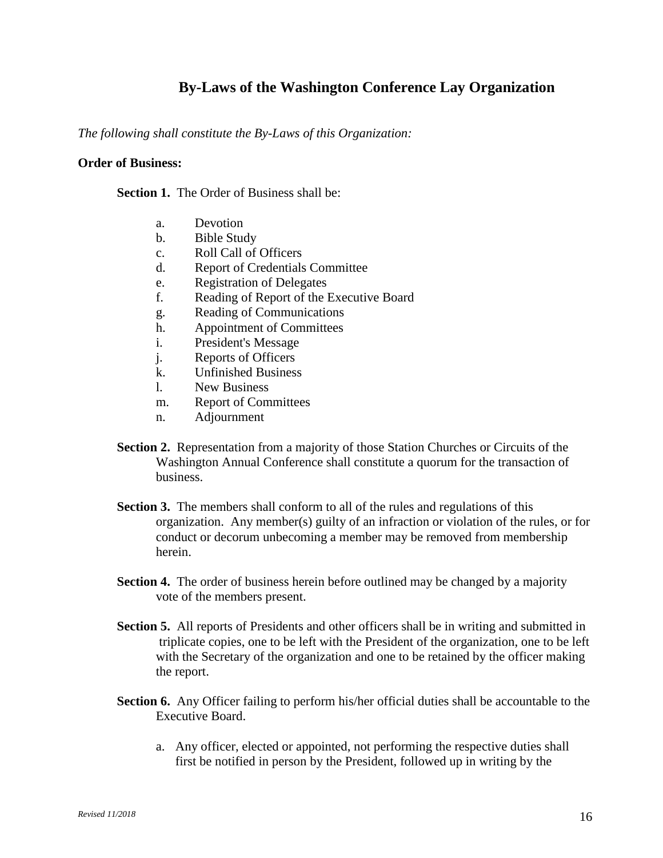### **By-Laws of the Washington Conference Lay Organization**

*The following shall constitute the By-Laws of this Organization:*

#### **Order of Business:**

**Section 1.** The Order of Business shall be:

- a. Devotion
- b. Bible Study
- c. Roll Call of Officers
- d. Report of Credentials Committee
- e. Registration of Delegates
- f. Reading of Report of the Executive Board
- g. Reading of Communications
- h. Appointment of Committees
- i. President's Message
- j. Reports of Officers
- k. Unfinished Business
- l. New Business
- m. Report of Committees
- n. Adjournment
- **Section 2.** Representation from a majority of those Station Churches or Circuits of the Washington Annual Conference shall constitute a quorum for the transaction of business.
- **Section 3.** The members shall conform to all of the rules and regulations of this organization. Any member(s) guilty of an infraction or violation of the rules, or for conduct or decorum unbecoming a member may be removed from membership herein.
- **Section 4.** The order of business herein before outlined may be changed by a majority vote of the members present.
- **Section 5.** All reports of Presidents and other officers shall be in writing and submitted in triplicate copies, one to be left with the President of the organization, one to be left with the Secretary of the organization and one to be retained by the officer making the report.
- **Section 6.** Any Officer failing to perform his/her official duties shall be accountable to the Executive Board.
	- a. Any officer, elected or appointed, not performing the respective duties shall first be notified in person by the President, followed up in writing by the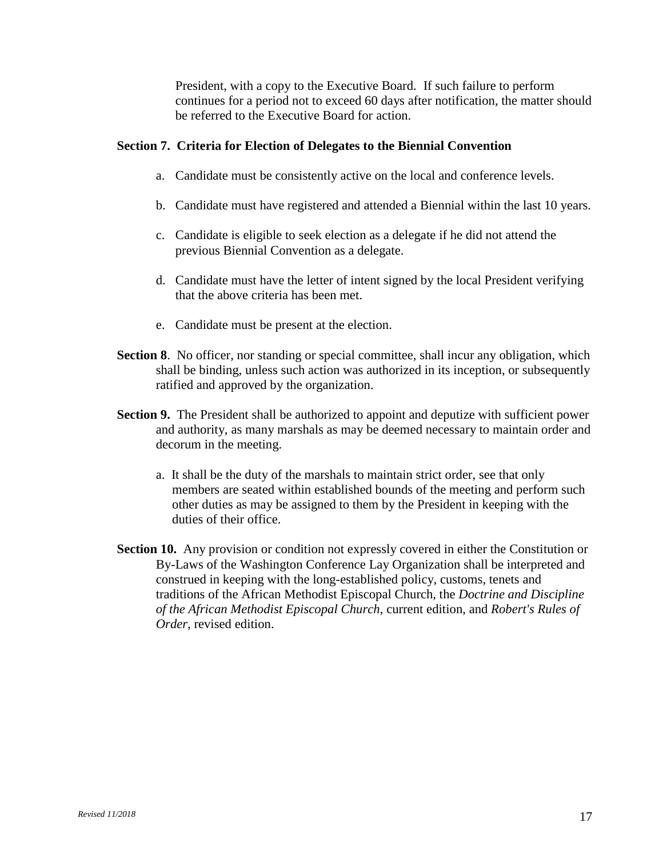President, with a copy to the Executive Board. If such failure to perform continues for a period not to exceed 60 days after notification, the matter should be referred to the Executive Board for action.

#### **Section 7. Criteria for Election of Delegates to the Biennial Convention**

- a. Candidate must be consistently active on the local and conference levels.
- b. Candidate must have registered and attended a Biennial within the last 10 years.
- c. Candidate is eligible to seek election as a delegate if he did not attend the previous Biennial Convention as a delegate.
- d. Candidate must have the letter of intent signed by the local President verifying that the above criteria has been met.
- e. Candidate must be present at the election.
- **Section 8.** No officer, nor standing or special committee, shall incur any obligation, which shall be binding, unless such action was authorized in its inception, or subsequently ratified and approved by the organization.
- **Section 9.** The President shall be authorized to appoint and deputize with sufficient power and authority, as many marshals as may be deemed necessary to maintain order and decorum in the meeting.
	- a. It shall be the duty of the marshals to maintain strict order, see that only members are seated within established bounds of the meeting and perform such other duties as may be assigned to them by the President in keeping with the duties of their office.
- **Section 10.** Any provision or condition not expressly covered in either the Constitution or By-Laws of the Washington Conference Lay Organization shall be interpreted and construed in keeping with the long-established policy, customs, tenets and traditions of the African Methodist Episcopal Church, the *Doctrine and Discipline of the African Methodist Episcopal Church*, current edition, and *Robert's Rules of Order*, revised edition.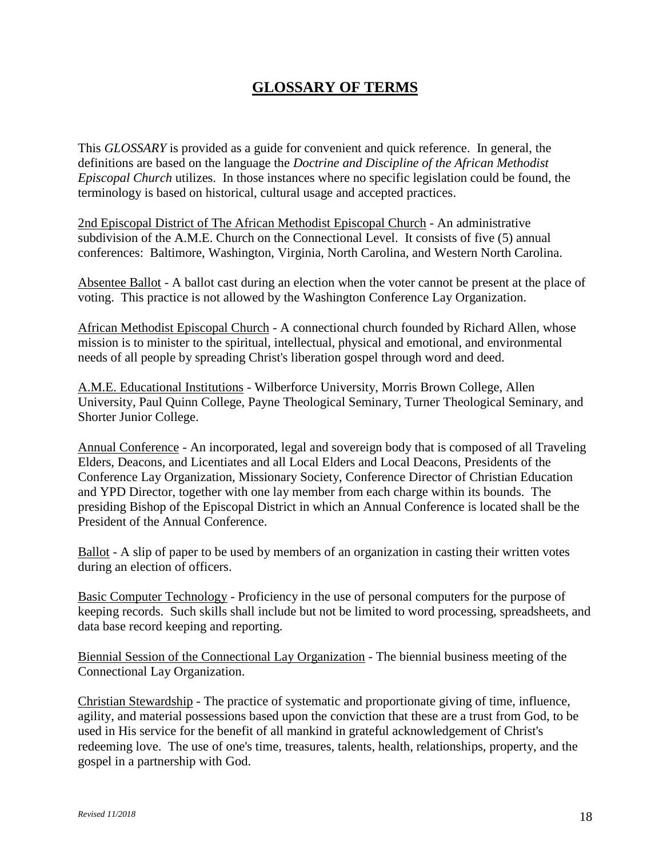## **GLOSSARY OF TERMS**

This *GLOSSARY* is provided as a guide for convenient and quick reference. In general, the definitions are based on the language the *Doctrine and Discipline of the African Methodist Episcopal Church* utilizes. In those instances where no specific legislation could be found, the terminology is based on historical, cultural usage and accepted practices.

2nd Episcopal District of The African Methodist Episcopal Church - An administrative subdivision of the A.M.E. Church on the Connectional Level. It consists of five (5) annual conferences: Baltimore, Washington, Virginia, North Carolina, and Western North Carolina.

Absentee Ballot - A ballot cast during an election when the voter cannot be present at the place of voting. This practice is not allowed by the Washington Conference Lay Organization.

African Methodist Episcopal Church - A connectional church founded by Richard Allen, whose mission is to minister to the spiritual, intellectual, physical and emotional, and environmental needs of all people by spreading Christ's liberation gospel through word and deed.

A.M.E. Educational Institutions - Wilberforce University, Morris Brown College, Allen University, Paul Quinn College, Payne Theological Seminary, Turner Theological Seminary, and Shorter Junior College.

Annual Conference - An incorporated, legal and sovereign body that is composed of all Traveling Elders, Deacons, and Licentiates and all Local Elders and Local Deacons, Presidents of the Conference Lay Organization, Missionary Society, Conference Director of Christian Education and YPD Director, together with one lay member from each charge within its bounds. The presiding Bishop of the Episcopal District in which an Annual Conference is located shall be the President of the Annual Conference.

Ballot - A slip of paper to be used by members of an organization in casting their written votes during an election of officers.

Basic Computer Technology - Proficiency in the use of personal computers for the purpose of keeping records. Such skills shall include but not be limited to word processing, spreadsheets, and data base record keeping and reporting.

Biennial Session of the Connectional Lay Organization - The biennial business meeting of the Connectional Lay Organization.

Christian Stewardship - The practice of systematic and proportionate giving of time, influence, agility, and material possessions based upon the conviction that these are a trust from God, to be used in His service for the benefit of all mankind in grateful acknowledgement of Christ's redeeming love. The use of one's time, treasures, talents, health, relationships, property, and the gospel in a partnership with God.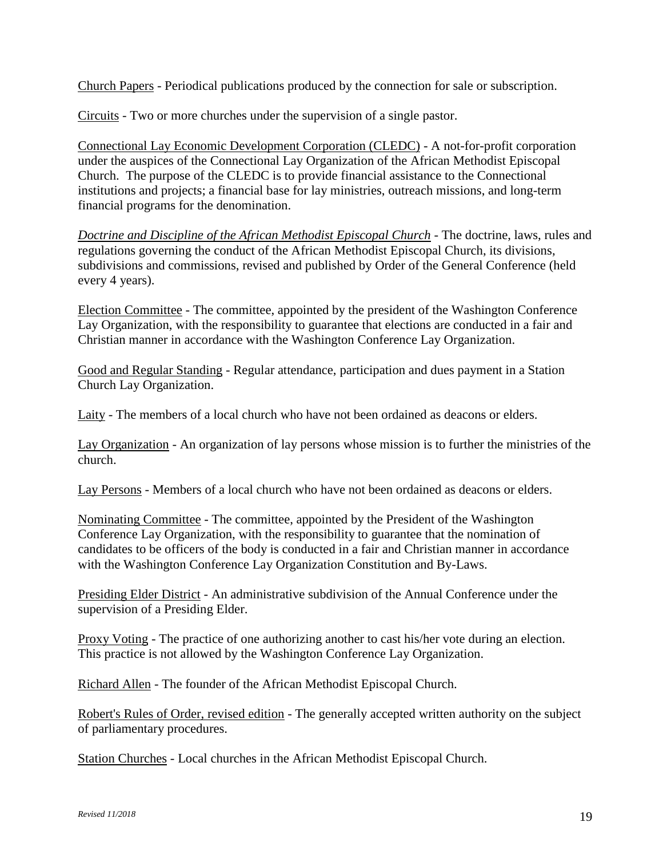Church Papers - Periodical publications produced by the connection for sale or subscription.

Circuits - Two or more churches under the supervision of a single pastor.

Connectional Lay Economic Development Corporation (CLEDC) - A not-for-profit corporation under the auspices of the Connectional Lay Organization of the African Methodist Episcopal Church. The purpose of the CLEDC is to provide financial assistance to the Connectional institutions and projects; a financial base for lay ministries, outreach missions, and long-term financial programs for the denomination.

*Doctrine and Discipline of the African Methodist Episcopal Church* - The doctrine, laws, rules and regulations governing the conduct of the African Methodist Episcopal Church, its divisions, subdivisions and commissions, revised and published by Order of the General Conference (held every 4 years).

Election Committee - The committee, appointed by the president of the Washington Conference Lay Organization, with the responsibility to guarantee that elections are conducted in a fair and Christian manner in accordance with the Washington Conference Lay Organization.

Good and Regular Standing - Regular attendance, participation and dues payment in a Station Church Lay Organization.

Laity - The members of a local church who have not been ordained as deacons or elders.

Lay Organization - An organization of lay persons whose mission is to further the ministries of the church.

Lay Persons - Members of a local church who have not been ordained as deacons or elders.

Nominating Committee - The committee, appointed by the President of the Washington Conference Lay Organization, with the responsibility to guarantee that the nomination of candidates to be officers of the body is conducted in a fair and Christian manner in accordance with the Washington Conference Lay Organization Constitution and By-Laws.

Presiding Elder District - An administrative subdivision of the Annual Conference under the supervision of a Presiding Elder.

Proxy Voting - The practice of one authorizing another to cast his/her vote during an election. This practice is not allowed by the Washington Conference Lay Organization.

Richard Allen - The founder of the African Methodist Episcopal Church.

Robert's Rules of Order, revised edition - The generally accepted written authority on the subject of parliamentary procedures.

Station Churches - Local churches in the African Methodist Episcopal Church.